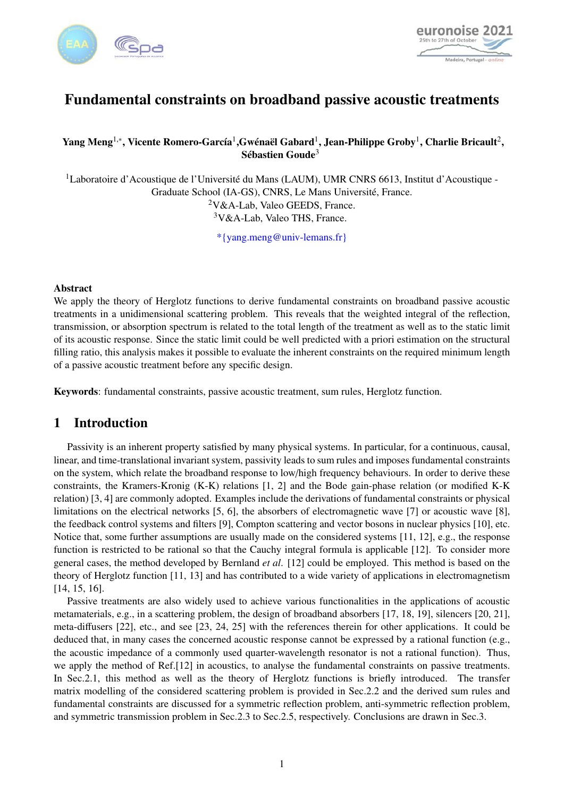



# Fundamental constraints on broadband passive acoustic treatments

### Yang Meng $^{1,*}$ , Vicente Romero-García $^1$ ,Gwénaël Gabard $^1$ , Jean-Philippe Groby $^1$ , Charlie Bricault $^2,$ Sébastien Goude<sup>3</sup>

<sup>1</sup>Laboratoire d'Acoustique de l'Université du Mans (LAUM), UMR CNRS 6613, Institut d'Acoustique - Graduate School (IA-GS), CNRS, Le Mans Université, France.  $2V&A-Lab$ , Valeo GEEDS, France. <sup>3</sup>V&A-Lab, Valeo THS, France.

\*{yang.meng@univ-lemans.fr}

#### **Abstract**

We apply the theory of Herglotz functions to derive fundamental constraints on broadband passive acoustic treatments in a unidimensional scattering problem. This reveals that the weighted integral of the reflection, transmission, or absorption spectrum is related to the total length of the treatment as well as to the static limit of its acoustic response. Since the static limit could be well predicted with a priori estimation on the structural filling ratio, this analysis makes it possible to evaluate the inherent constraints on the required minimum length of a passive acoustic treatment before any specific design.

Keywords: fundamental constraints, passive acoustic treatment, sum rules, Herglotz function.

# 1 Introduction

Passivity is an inherent property satisfied by many physical systems. In particular, for a continuous, causal, linear, and time-translational invariant system, passivity leads to sum rules and imposes fundamental constraints on the system, which relate the broadband response to low/high frequency behaviours. In order to derive these constraints, the Kramers-Kronig (K-K) relations [\[1,](#page-3-0) [2\]](#page-3-1) and the Bode gain-phase relation (or modified K-K relation) [\[3,](#page-3-2) [4\]](#page-3-3) are commonly adopted. Examples include the derivations of fundamental constraints or physical limitations on the electrical networks [\[5,](#page-3-4) [6\]](#page-3-5), the absorbers of electromagnetic wave [\[7\]](#page-3-6) or acoustic wave [\[8\]](#page-3-7), the feedback control systems and filters [\[9\]](#page-3-8), Compton scattering and vector bosons in nuclear physics [\[10\]](#page-4-0), etc. Notice that, some further assumptions are usually made on the considered systems [\[11,](#page-4-1) [12\]](#page-4-2), e.g., the response function is restricted to be rational so that the Cauchy integral formula is applicable [\[12\]](#page-4-2). To consider more general cases, the method developed by Bernland *et al*. [\[12\]](#page-4-2) could be employed. This method is based on the theory of Herglotz function [\[11,](#page-4-1) [13\]](#page-4-3) and has contributed to a wide variety of applications in electromagnetism [\[14,](#page-4-4) [15,](#page-4-5) [16\]](#page-4-6).

Passive treatments are also widely used to achieve various functionalities in the applications of acoustic metamaterials, e.g., in a scattering problem, the design of broadband absorbers [\[17,](#page-4-7) [18,](#page-4-8) [19\]](#page-4-9), silencers [\[20,](#page-4-10) [21\]](#page-4-11), meta-diffusers [\[22\]](#page-4-12), etc., and see [\[23,](#page-4-13) [24,](#page-4-14) [25\]](#page-4-15) with the references therein for other applications. It could be deduced that, in many cases the concerned acoustic response cannot be expressed by a rational function (e.g., the acoustic impedance of a commonly used quarter-wavelength resonator is not a rational function). Thus, we apply the method of Ref.[\[12\]](#page-4-2) in acoustics, to analyse the fundamental constraints on passive treatments. In Sec.2.1, this method as well as the theory of Herglotz functions is briefly introduced. The transfer matrix modelling of the considered scattering problem is provided in Sec.2.2 and the derived sum rules and fundamental constraints are discussed for a symmetric reflection problem, anti-symmetric reflection problem, and symmetric transmission problem in Sec.2.3 to Sec.2.5, respectively. Conclusions are drawn in Sec.3.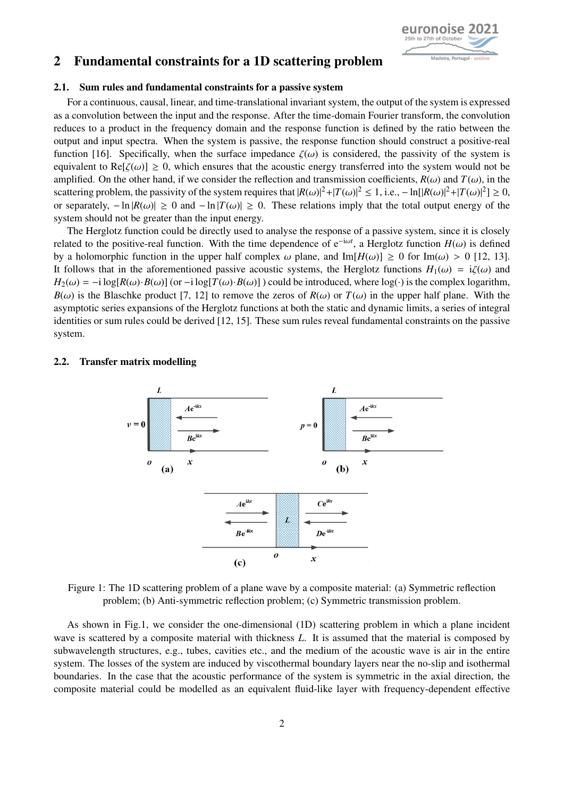

# 2 Fundamental constraints for a 1D scattering problem

#### 2.1. Sum rules and fundamental constraints for a passive system

For a continuous, causal, linear, and time-translational invariant system, the output of the system is expressed as a convolution between the input and the response. After the time-domain Fourier transform, the convolution reduces to a product in the frequency domain and the response function is defined by the ratio between the output and input spectra. When the system is passive, the response function should construct a positive-real function [\[16\]](#page-4-6). Specifically, when the surface impedance  $\zeta(\omega)$  is considered, the passivity of the system is equivalent to Re[ $\zeta(\omega)$ ]  $\geq 0$ , which ensures that the acoustic energy transferred into the system would not be amplified. On the other hand, if we consider the reflection and transmission coefficients,  $R(\omega)$  and  $T(\omega)$ , in the scattering problem, the passivity of the system requires that  $|R(\omega)|^2 + |T(\omega)|^2 \le 1$ , i.e.,  $- \ln(|R(\omega)|^2 + |T(\omega)|^2) \ge 0$ , or separately  $- \ln |R(\omega)| \ge 0$  and  $- \ln |T(\omega)| \ge 0$ . These relations imply that the total output energy of t or separately,  $- \ln |R(\omega)| \ge 0$  and  $- \ln |T(\omega)| \ge 0$ . These relations imply that the total output energy of the system should not be greater than the input energy.

The Herglotz function could be directly used to analyse the response of a passive system, since it is closely related to the positive-real function. With the time dependence of e<sup>-iω*t*</sup>, a Herglotz function *H*(ω) is defined<br>by a holomorphic function in the upper half complex ω plane, and  $Im[H(\omega)] > 0$  for  $Im(\omega) > 0$  [12, 13] by a holomorphic function in the upper half complex  $\omega$  plane, and Im $[H(\omega)] \ge 0$  for Im( $\omega$ ) > 0 [\[12,](#page-4-2) [13\]](#page-4-3). It follows that in the aforementioned passive acoustic systems, the Herglotz functions  $H_1(\omega) = i\zeta(\omega)$  and  $H_2(\omega) = -i \log[R(\omega) \cdot B(\omega)]$  (or  $-i \log[T(\omega) \cdot B(\omega)]$ ) could be introduced, where  $\log(\cdot)$  is the complex logarithm,  $B(\omega)$  is the Blaschke product [\[7,](#page-3-6) [12\]](#page-4-2) to remove the zeros of  $R(\omega)$  or  $T(\omega)$  in the upper half plane. With the asymptotic series expansions of the Herglotz functions at both the static and dynamic limits, a series of integral identities or sum rules could be derived [\[12,](#page-4-2) [15\]](#page-4-5). These sum rules reveal fundamental constraints on the passive system.

#### <span id="page-1-0"></span>2.2. Transfer matrix modelling



Figure 1: The 1D scattering problem of a plane wave by a composite material: (a) Symmetric reflection problem; (b) Anti-symmetric reflection problem; (c) Symmetric transmission problem.

As shown in Fig[.1,](#page-1-0) we consider the one-dimensional (1D) scattering problem in which a plane incident wave is scattered by a composite material with thickness *L*. It is assumed that the material is composed by subwavelength structures, e.g., tubes, cavities etc., and the medium of the acoustic wave is air in the entire system. The losses of the system are induced by viscothermal boundary layers near the no-slip and isothermal boundaries. In the case that the acoustic performance of the system is symmetric in the axial direction, the composite material could be modelled as an equivalent fluid-like layer with frequency-dependent effective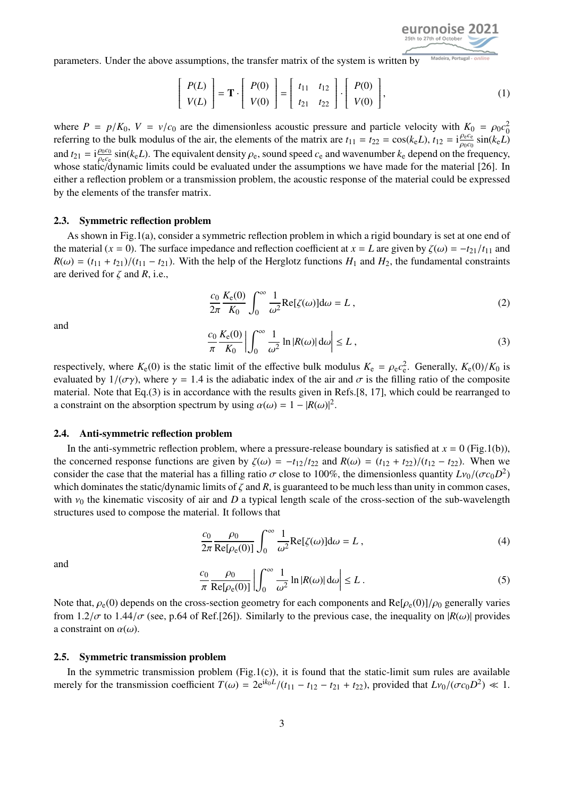

parameters. Under the above assumptions, the transfer matrix of the system is written by

$$
\begin{bmatrix} P(L) \\ V(L) \end{bmatrix} = \mathbf{T} \cdot \begin{bmatrix} P(0) \\ V(0) \end{bmatrix} = \begin{bmatrix} t_{11} & t_{12} \\ t_{21} & t_{22} \end{bmatrix} \cdot \begin{bmatrix} P(0) \\ V(0) \end{bmatrix},
$$
 (1)

where  $P = p/K_0$ ,  $V = v/c_0$  are the dimensionless acoustic pressure and particle velocity with  $K_0 = \rho_0 c_0^2$ <br>referring to the bulk modulus of the air, the elements of the matrix are  $t_{11} = t_{22} = \cos(k/L)$ ,  $t_{12} = i \frac{\rho_0 c_0^2$ referring to the bulk modulus of the air, the elements of the matrix are  $t_{11} = t_{22} = \cos(k_e L), t_{12} = i \frac{\rho_e c_e}{\rho_{000}} \sin(k_e L)$ and  $t_{21} = i \frac{\rho_0 c_0}{\rho_c c_0} \sin(k_e L)$ . The equivalent density  $\rho_e$ , sound speed  $c_e$  and wavenumber  $k_e$  depend on the frequency, whose static/dynamic limits could be evaluated under the assumptions we have made for the m whose static/dynamic limits could be evaluated under the assumptions we have made for the material [\[26\]](#page-4-16). In whose static/dynamic limits could be evaluated under the assumptions we have made for the material [26]. In either a reflection problem or a transmission problem, the acoustic response of the material could be expressed by the elements of the transfer matrix.

#### 2.3. Symmetric reflection problem

As shown in Fig[.1\(](#page-1-0)a), consider a symmetric reflection problem in which a rigid boundary is set at one end of the material ( $x = 0$ ). The surface impedance and reflection coefficient at  $x = L$  are given by  $\zeta(\omega) = -t_{21}/t_{11}$  and  $R(\omega) = (t_{11} + t_{21})/(t_{11} - t_{21})$ . With the help of the Herglotz functions  $H_1$  and  $H_2$ , the fundamental constraints are derived for  $\zeta$  and  $R$ , i.e.,

$$
\frac{c_0}{2\pi} \frac{K_e(0)}{K_0} \int_0^\infty \frac{1}{\omega^2} \text{Re}[\zeta(\omega)] d\omega = L \,, \tag{2}
$$

<span id="page-2-0"></span>and

$$
\frac{c_0}{\pi} \frac{K_e(0)}{K_0} \left| \int_0^\infty \frac{1}{\omega^2} \ln |R(\omega)| \, d\omega \right| \le L \,, \tag{3}
$$

respectively, where  $K_e(0)$  is the static limit of the effective bulk modulus  $K_e = \rho_e c_e^2$ . Generally,  $K_e(0)/K_0$  is<br>evaluated by  $1/(\sigma x)$ , where  $\gamma = 1.4$  is the adjabatic index of the air and  $\sigma$  is the filling ratio o evaluated by  $1/(\sigma \gamma)$ , where  $\gamma = 1.4$  is the adiabatic index of the air and  $\sigma$  is the filling ratio of the composite material. Note that Eq.[\(3\)](#page-2-0) is in accordance with the results given in Refs.[\[8,](#page-3-7) [17\]](#page-4-7), which could be rearranged to a constraint on the absorption spectrum by using  $\alpha(\omega) = 1 - |R(\omega)|^2$ .

#### 2.4. Anti-symmetric reflection problem

In the anti-symmetric reflection problem, where a pressure-release boundary is satisfied at  $x = 0$  (Fig[.1\(](#page-1-0)b)), the concerned response functions are given by  $\zeta(\omega) = -t_{12}/t_{22}$  and  $R(\omega) = (t_{12} + t_{22})/(t_{12} - t_{22})$ . When we consider the case that the material has a filling ratio  $\sigma$  close to 100%, the dimensionless quantity  $Lv_0/(\sigma c_0 D^2)$ <br>which dominates the static/dynamic limits of  $\zeta$  and  $R$  is quaranteed to be much less than unity i which dominates the static/dynamic limits of  $\zeta$  and  $R$ , is guaranteed to be much less than unity in common cases, with  $v_0$  the kinematic viscosity of air and *D* a typical length scale of the cross-section of the sub-wavelength structures used to compose the material. It follows that

$$
\frac{c_0}{2\pi} \frac{\rho_0}{\text{Re}[\rho_e(0)]} \int_0^\infty \frac{1}{\omega^2} \text{Re}[\zeta(\omega)] d\omega = L \,, \tag{4}
$$

and

$$
\frac{c_0}{\pi} \frac{\rho_0}{\text{Re}[\rho_e(0)]} \left| \int_0^\infty \frac{1}{\omega^2} \ln |R(\omega)| d\omega \right| \le L \,. \tag{5}
$$

Note that,  $\rho_e(0)$  depends on the cross-section geometry for each components and  $\text{Re}[\rho_e(0)]/\rho_0$  generally varies from  $1.2/\sigma$  to  $1.44/\sigma$  (see n.64 of Ref. [26]). Similarly to the previous case, the inequality on  $|R(\omega$ from 1.2/ $\sigma$  to 1.44/ $\sigma$  (see, p.64 of Ref.[\[26\]](#page-4-16)). Similarly to the previous case, the inequality on  $|R(\omega)|$  provides a constraint on  $\alpha(\omega)$ .

#### 2.5. Symmetric transmission problem

In the symmetric transmission problem  $(Fig.1(c))$  $(Fig.1(c))$  $(Fig.1(c))$ , it is found that the static-limit sum rules are available merely for the transmission coefficient  $T(\omega) = 2e^{ik_0L}/(t_{11} - t_{12} - t_{21} + t_{22})$ , provided that  $Lv_0/(\sigma c_0 D^2) \ll 1$ .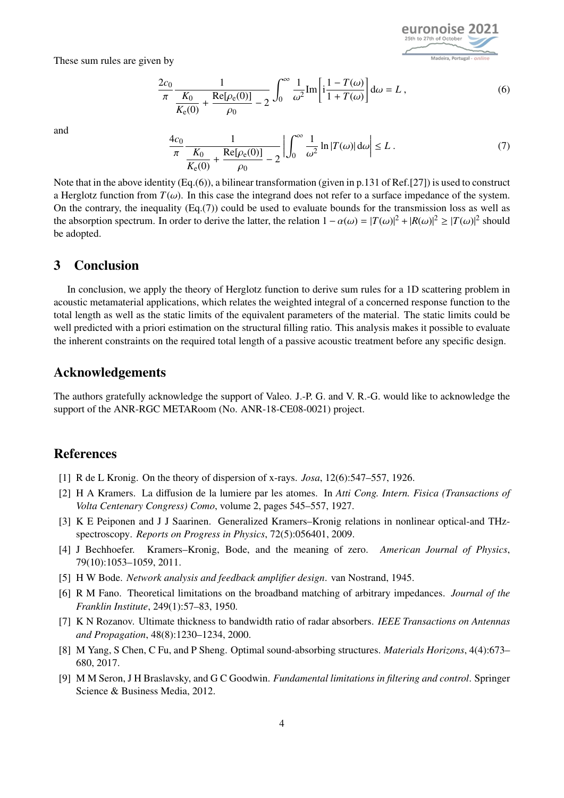euronoise 20 Madeira, Portugal

These sum rules are given by

<span id="page-3-9"></span>
$$
\frac{2c_0}{\pi} \frac{1}{\frac{K_0}{K_e(0)} + \frac{\text{Re}[\rho_e(0)]}{\rho_0} - 2} \int_0^\infty \frac{1}{\omega^2} \text{Im} \left[ i \frac{1 - T(\omega)}{1 + T(\omega)} \right] d\omega = L ,
$$
 (6)

<span id="page-3-10"></span>and

$$
\frac{4c_0}{\pi} \frac{1}{\frac{K_0}{K_{\epsilon}(0)} + \frac{\text{Re}[\rho_{\epsilon}(0)]}{\rho_0} - 2} \left| \int_0^{\infty} \frac{1}{\omega^2} \ln |T(\omega)| d\omega \right| \le L.
$$
\n(7)

Note that in the above identity (Eq.[\(6\)](#page-3-9)), a bilinear transformation (given in p.131 of Ref.[\[27\]](#page-4-17)) is used to construct a Herglotz function from  $T(\omega)$ . In this case the integrand does not refer to a surface impedance of the system. On the contrary, the inequality  $(Eq.7)$  could be used to evaluate bounds for the transmission loss as well as the absorption spectrum. In order to derive the latter, the relation  $1 - \alpha(\omega) = |T(\omega)|^2 + |R(\omega)|^2 \ge |T(\omega)|^2$  should be adopted.

# 3 Conclusion

In conclusion, we apply the theory of Herglotz function to derive sum rules for a 1D scattering problem in acoustic metamaterial applications, which relates the weighted integral of a concerned response function to the total length as well as the static limits of the equivalent parameters of the material. The static limits could be well predicted with a priori estimation on the structural filling ratio. This analysis makes it possible to evaluate the inherent constraints on the required total length of a passive acoustic treatment before any specific design.

### Acknowledgements

The authors gratefully acknowledge the support of Valeo. J.-P. G. and V. R.-G. would like to acknowledge the support of the ANR-RGC METARoom (No. ANR-18-CE08-0021) project.

### References

- <span id="page-3-0"></span>[1] R de L Kronig. On the theory of dispersion of x-rays. *Josa*, 12(6):547–557, 1926.
- <span id="page-3-1"></span>[2] H A Kramers. La diffusion de la lumiere par les atomes. In *Atti Cong. Intern. Fisica (Transactions of Volta Centenary Congress) Como*, volume 2, pages 545–557, 1927.
- <span id="page-3-2"></span>[3] K E Peiponen and J J Saarinen. Generalized Kramers–Kronig relations in nonlinear optical-and THzspectroscopy. *Reports on Progress in Physics*, 72(5):056401, 2009.
- <span id="page-3-3"></span>[4] J Bechhoefer. Kramers–Kronig, Bode, and the meaning of zero. *American Journal of Physics*, 79(10):1053–1059, 2011.
- <span id="page-3-4"></span>[5] H W Bode. *Network analysis and feedback amplifier design*. van Nostrand, 1945.
- <span id="page-3-5"></span>[6] R M Fano. Theoretical limitations on the broadband matching of arbitrary impedances. *Journal of the Franklin Institute*, 249(1):57–83, 1950.
- <span id="page-3-6"></span>[7] K N Rozanov. Ultimate thickness to bandwidth ratio of radar absorbers. *IEEE Transactions on Antennas and Propagation*, 48(8):1230–1234, 2000.
- <span id="page-3-7"></span>[8] M Yang, S Chen, C Fu, and P Sheng. Optimal sound-absorbing structures. *Materials Horizons*, 4(4):673– 680, 2017.
- <span id="page-3-8"></span>[9] M M Seron, J H Braslavsky, and G C Goodwin. *Fundamental limitations in filtering and control*. Springer Science & Business Media, 2012.